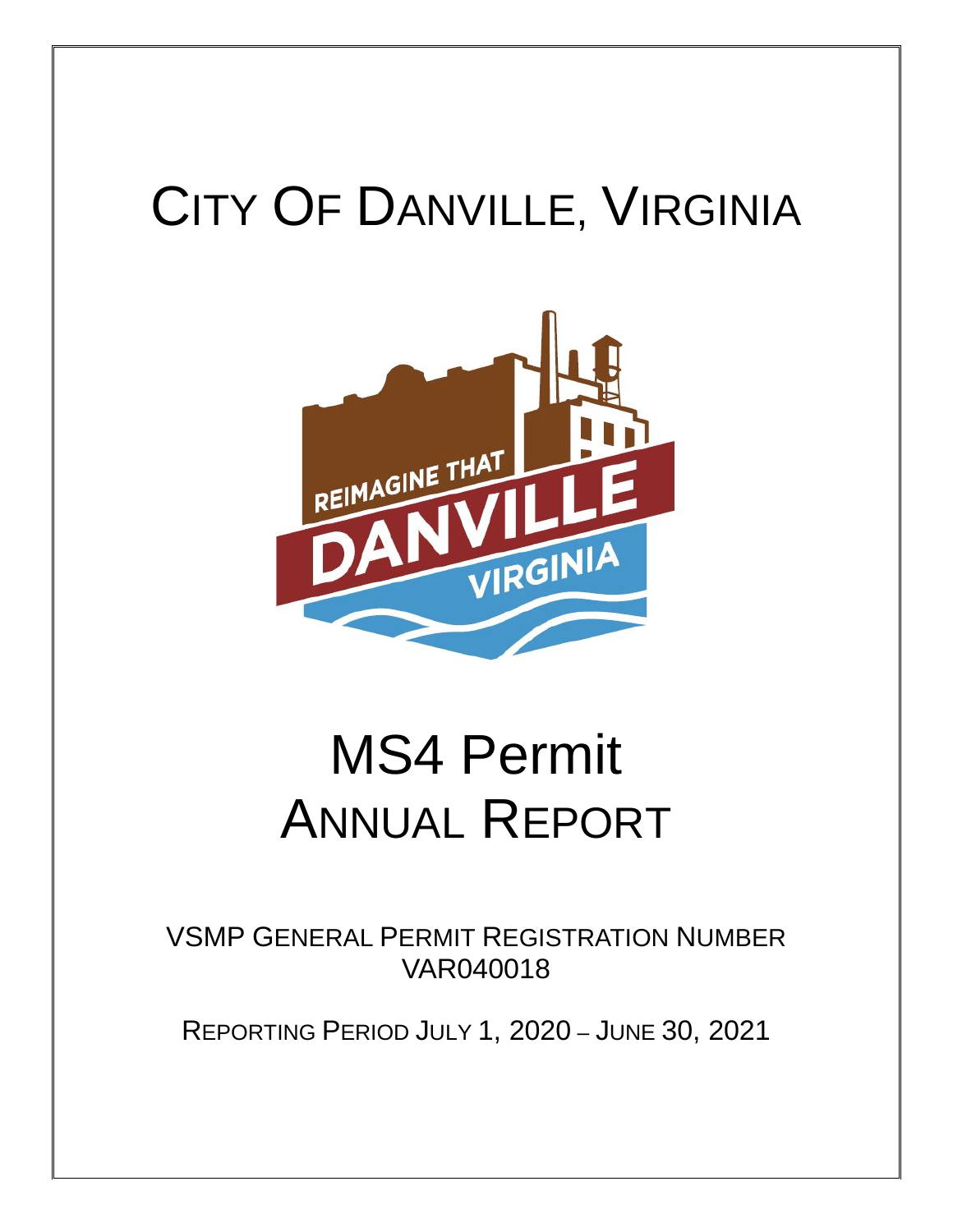# CITY OF DANVILLE, VIRGINIA



# MS4 Permit ANNUAL REPORT

VSMP GENERAL PERMIT REGISTRATION NUMBER VAR040018

REPORTING PERIOD JULY 1, 2020 – JUNE 30, 2021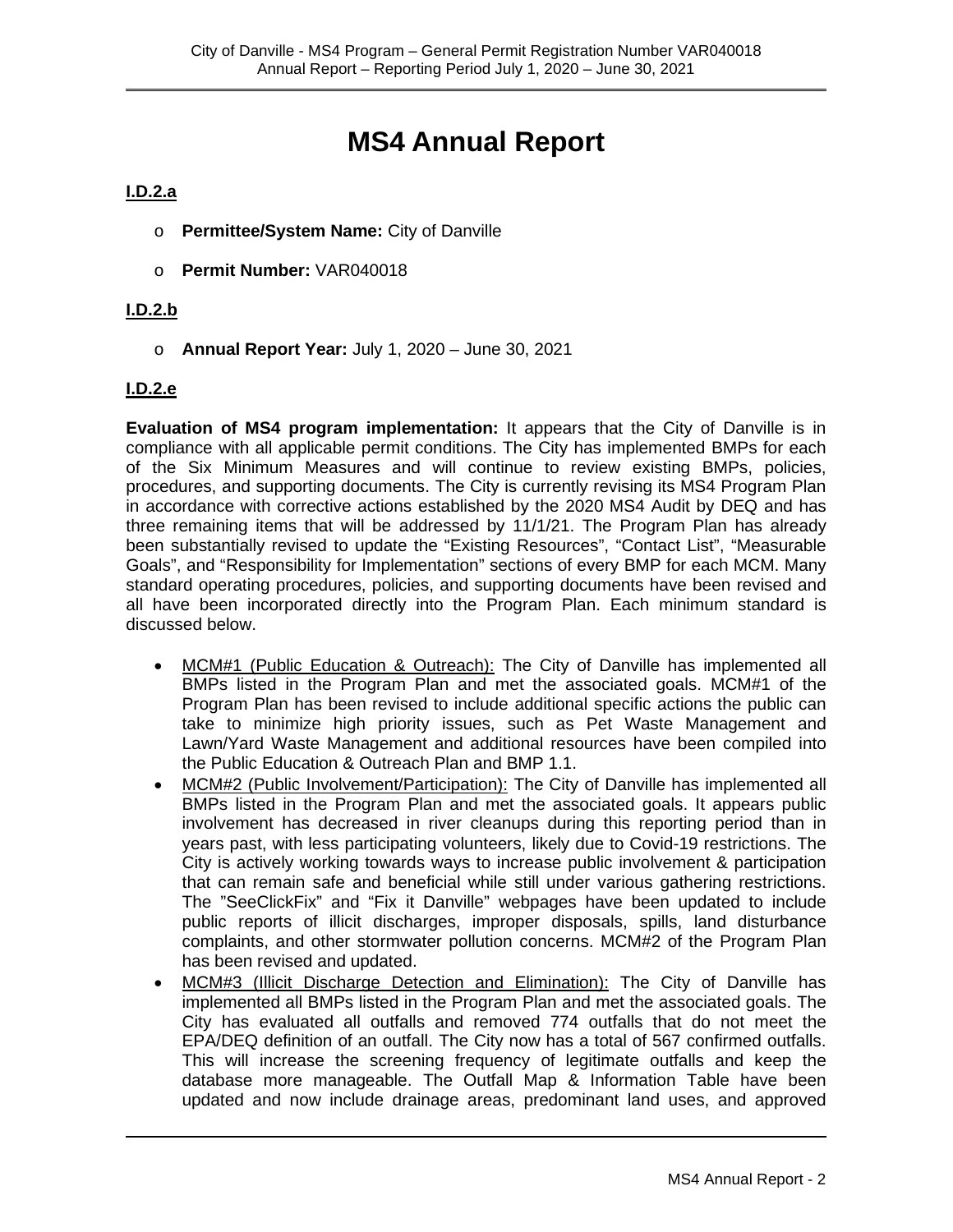# **MS4 Annual Report**

#### **I.D.2.a**

- o **Permittee/System Name:** City of Danville
- o **Permit Number:** VAR040018

#### **I.D.2.b**

o **Annual Report Year:** July 1, 2020 – June 30, 2021

#### **I.D.2.e**

**Evaluation of MS4 program implementation:** It appears that the City of Danville is in compliance with all applicable permit conditions. The City has implemented BMPs for each of the Six Minimum Measures and will continue to review existing BMPs, policies, procedures, and supporting documents. The City is currently revising its MS4 Program Plan in accordance with corrective actions established by the 2020 MS4 Audit by DEQ and has three remaining items that will be addressed by 11/1/21. The Program Plan has already been substantially revised to update the "Existing Resources", "Contact List", "Measurable Goals", and "Responsibility for Implementation" sections of every BMP for each MCM. Many standard operating procedures, policies, and supporting documents have been revised and all have been incorporated directly into the Program Plan. Each minimum standard is discussed below.

- MCM#1 (Public Education & Outreach): The City of Danville has implemented all BMPs listed in the Program Plan and met the associated goals. MCM#1 of the Program Plan has been revised to include additional specific actions the public can take to minimize high priority issues, such as Pet Waste Management and Lawn/Yard Waste Management and additional resources have been compiled into the Public Education & Outreach Plan and BMP 1.1.
- MCM#2 (Public Involvement/Participation): The City of Danville has implemented all BMPs listed in the Program Plan and met the associated goals. It appears public involvement has decreased in river cleanups during this reporting period than in years past, with less participating volunteers, likely due to Covid-19 restrictions. The City is actively working towards ways to increase public involvement & participation that can remain safe and beneficial while still under various gathering restrictions. The "SeeClickFix" and "Fix it Danville" webpages have been updated to include public reports of illicit discharges, improper disposals, spills, land disturbance complaints, and other stormwater pollution concerns. MCM#2 of the Program Plan has been revised and updated.
- MCM#3 (Illicit Discharge Detection and Elimination): The City of Danville has implemented all BMPs listed in the Program Plan and met the associated goals. The City has evaluated all outfalls and removed 774 outfalls that do not meet the EPA/DEQ definition of an outfall. The City now has a total of 567 confirmed outfalls. This will increase the screening frequency of legitimate outfalls and keep the database more manageable. The Outfall Map & Information Table have been updated and now include drainage areas, predominant land uses, and approved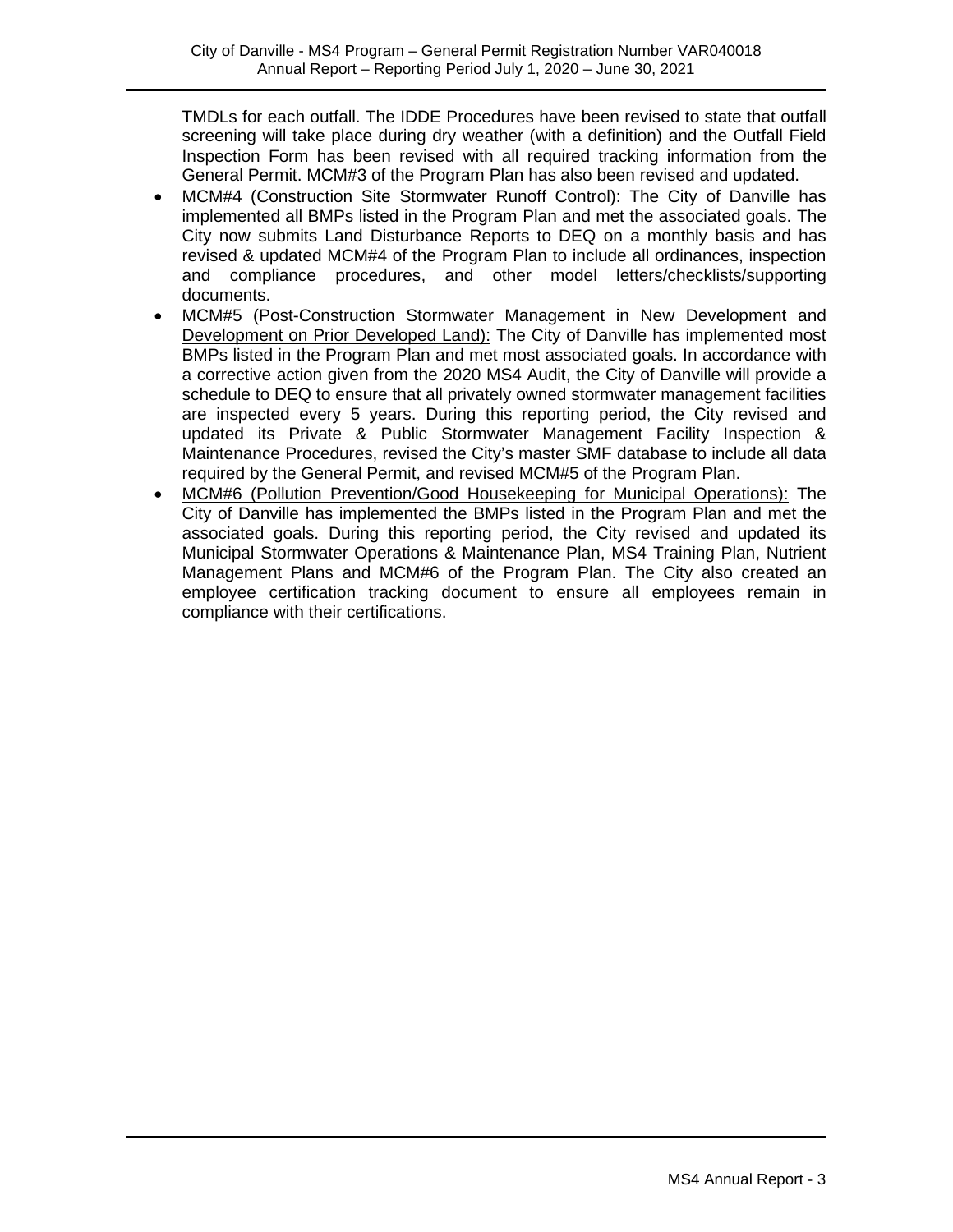TMDLs for each outfall. The IDDE Procedures have been revised to state that outfall screening will take place during dry weather (with a definition) and the Outfall Field Inspection Form has been revised with all required tracking information from the General Permit. MCM#3 of the Program Plan has also been revised and updated.

- MCM#4 (Construction Site Stormwater Runoff Control): The City of Danville has implemented all BMPs listed in the Program Plan and met the associated goals. The City now submits Land Disturbance Reports to DEQ on a monthly basis and has revised & updated MCM#4 of the Program Plan to include all ordinances, inspection and compliance procedures, and other model letters/checklists/supporting documents.
- MCM#5 (Post-Construction Stormwater Management in New Development and Development on Prior Developed Land): The City of Danville has implemented most BMPs listed in the Program Plan and met most associated goals. In accordance with a corrective action given from the 2020 MS4 Audit, the City of Danville will provide a schedule to DEQ to ensure that all privately owned stormwater management facilities are inspected every 5 years. During this reporting period, the City revised and updated its Private & Public Stormwater Management Facility Inspection & Maintenance Procedures, revised the City's master SMF database to include all data required by the General Permit, and revised MCM#5 of the Program Plan.
- MCM#6 (Pollution Prevention/Good Housekeeping for Municipal Operations): The City of Danville has implemented the BMPs listed in the Program Plan and met the associated goals. During this reporting period, the City revised and updated its Municipal Stormwater Operations & Maintenance Plan, MS4 Training Plan, Nutrient Management Plans and MCM#6 of the Program Plan. The City also created an employee certification tracking document to ensure all employees remain in compliance with their certifications.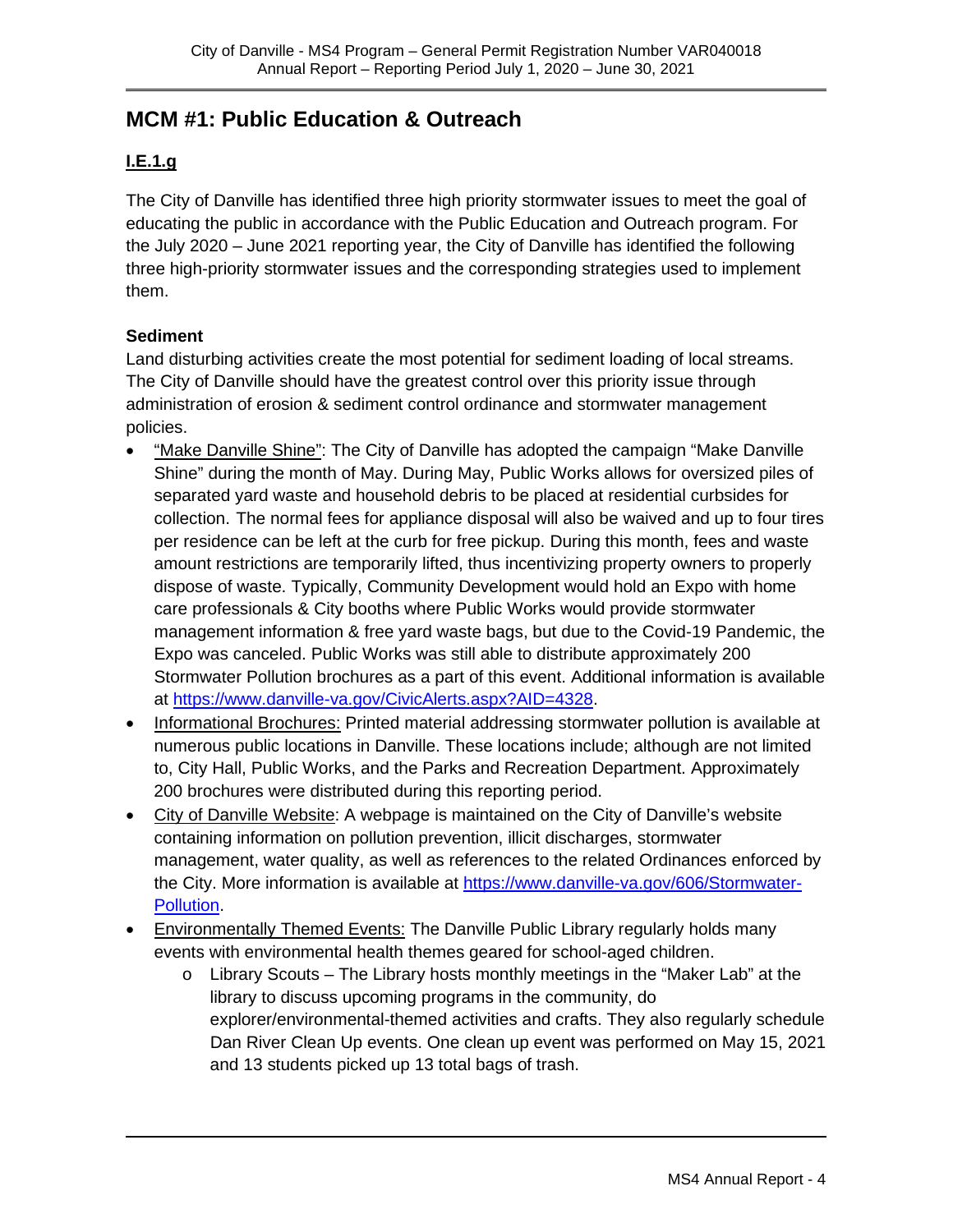# **MCM #1: Public Education & Outreach**

#### **I.E.1.g**

The City of Danville has identified three high priority stormwater issues to meet the goal of educating the public in accordance with the Public Education and Outreach program. For the July 2020 – June 2021 reporting year, the City of Danville has identified the following three high-priority stormwater issues and the corresponding strategies used to implement them.

#### **Sediment**

Land disturbing activities create the most potential for sediment loading of local streams. The City of Danville should have the greatest control over this priority issue through administration of erosion & sediment control ordinance and stormwater management policies.

- "Make Danville Shine": The City of Danville has adopted the campaign "Make Danville Shine" during the month of May. During May, Public Works allows for oversized piles of separated yard waste and household debris to be placed at residential curbsides for collection. The normal fees for appliance disposal will also be waived and up to four tires per residence can be left at the curb for free pickup. During this month, fees and waste amount restrictions are temporarily lifted, thus incentivizing property owners to properly dispose of waste. Typically, Community Development would hold an Expo with home care professionals & City booths where Public Works would provide stormwater management information & free yard waste bags, but due to the Covid-19 Pandemic, the Expo was canceled. Public Works was still able to distribute approximately 200 Stormwater Pollution brochures as a part of this event. Additional information is available at [https://www.danville-va.gov/CivicAlerts.aspx?AID=4328.](https://www.danville-va.gov/CivicAlerts.aspx?AID=4328)
- Informational Brochures: Printed material addressing stormwater pollution is available at numerous public locations in Danville. These locations include; although are not limited to, City Hall, Public Works, and the Parks and Recreation Department. Approximately 200 brochures were distributed during this reporting period.
- City of Danville Website: A webpage is maintained on the City of Danville's website containing information on pollution prevention, illicit discharges, stormwater management, water quality, as well as references to the related Ordinances enforced by the City. More information is available at [https://www.danville-va.gov/606/Stormwater-](https://www.danville-va.gov/606/Stormwater-Pollution)[Pollution.](https://www.danville-va.gov/606/Stormwater-Pollution)
- Environmentally Themed Events: The Danville Public Library regularly holds many events with environmental health themes geared for school-aged children.
	- o Library Scouts The Library hosts monthly meetings in the "Maker Lab" at the library to discuss upcoming programs in the community, do explorer/environmental-themed activities and crafts. They also regularly schedule Dan River Clean Up events. One clean up event was performed on May 15, 2021 and 13 students picked up 13 total bags of trash.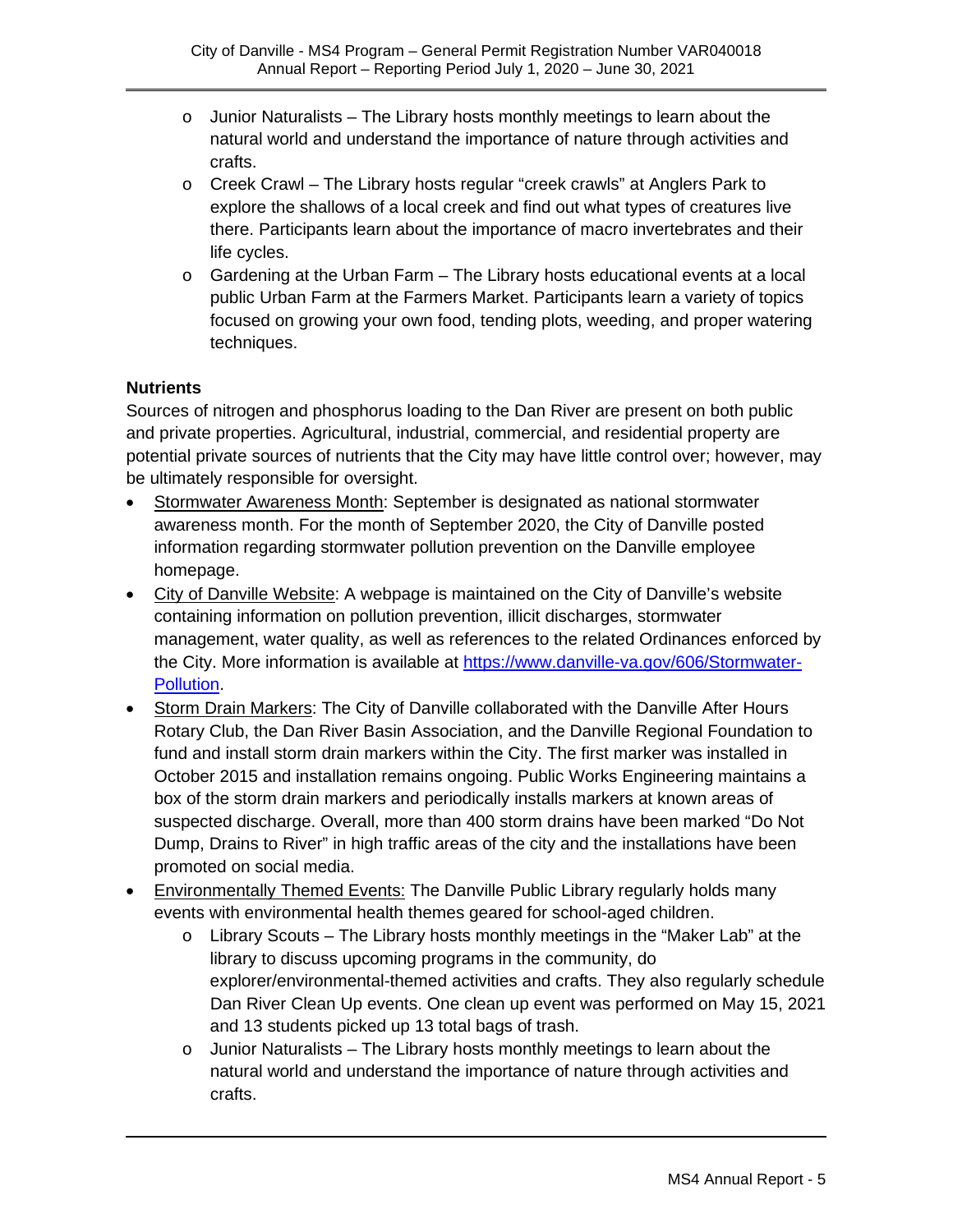- $\circ$  Junior Naturalists The Library hosts monthly meetings to learn about the natural world and understand the importance of nature through activities and crafts.
- o Creek Crawl The Library hosts regular "creek crawls" at Anglers Park to explore the shallows of a local creek and find out what types of creatures live there. Participants learn about the importance of macro invertebrates and their life cycles.
- $\circ$  Gardening at the Urban Farm The Library hosts educational events at a local public Urban Farm at the Farmers Market. Participants learn a variety of topics focused on growing your own food, tending plots, weeding, and proper watering techniques.

#### **Nutrients**

Sources of nitrogen and phosphorus loading to the Dan River are present on both public and private properties. Agricultural, industrial, commercial, and residential property are potential private sources of nutrients that the City may have little control over; however, may be ultimately responsible for oversight.

- Stormwater Awareness Month: September is designated as national stormwater awareness month. For the month of September 2020, the City of Danville posted information regarding stormwater pollution prevention on the Danville employee homepage.
- City of Danville Website: A webpage is maintained on the City of Danville's website containing information on pollution prevention, illicit discharges, stormwater management, water quality, as well as references to the related Ordinances enforced by the City. More information is available at [https://www.danville-va.gov/606/Stormwater-](https://www.danville-va.gov/606/Stormwater-Pollution)[Pollution.](https://www.danville-va.gov/606/Stormwater-Pollution)
- Storm Drain Markers: The City of Danville collaborated with the Danville After Hours Rotary Club, the Dan River Basin Association, and the Danville Regional Foundation to fund and install storm drain markers within the City. The first marker was installed in October 2015 and installation remains ongoing. Public Works Engineering maintains a box of the storm drain markers and periodically installs markers at known areas of suspected discharge. Overall, more than 400 storm drains have been marked "Do Not Dump, Drains to River" in high traffic areas of the city and the installations have been promoted on social media.
- **Environmentally Themed Events: The Danville Public Library regularly holds many** events with environmental health themes geared for school-aged children.
	- $\circ$  Library Scouts The Library hosts monthly meetings in the "Maker Lab" at the library to discuss upcoming programs in the community, do explorer/environmental-themed activities and crafts. They also regularly schedule Dan River Clean Up events. One clean up event was performed on May 15, 2021 and 13 students picked up 13 total bags of trash.
	- $\circ$  Junior Naturalists The Library hosts monthly meetings to learn about the natural world and understand the importance of nature through activities and crafts.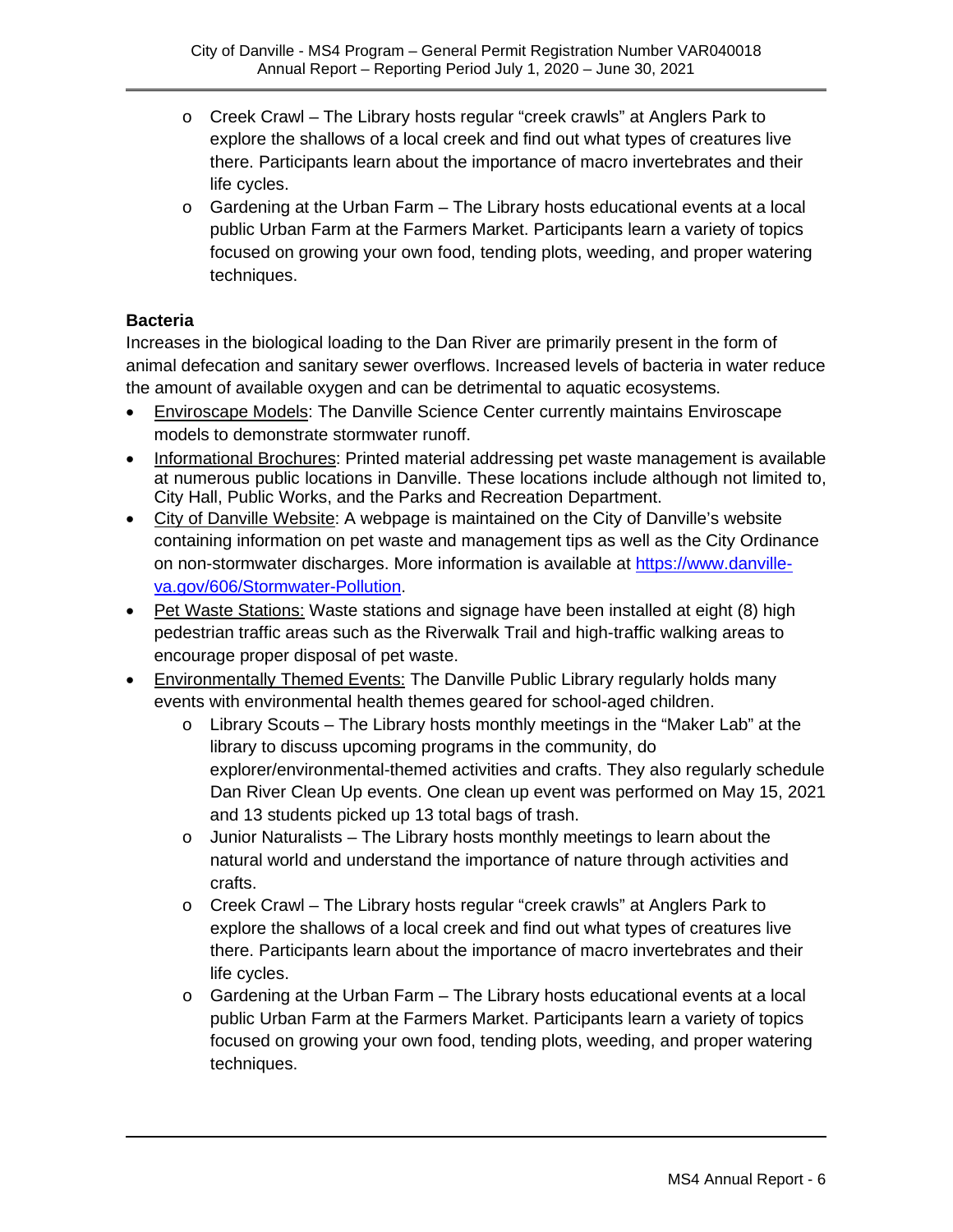- o Creek Crawl The Library hosts regular "creek crawls" at Anglers Park to explore the shallows of a local creek and find out what types of creatures live there. Participants learn about the importance of macro invertebrates and their life cycles.
- $\circ$  Gardening at the Urban Farm The Library hosts educational events at a local public Urban Farm at the Farmers Market. Participants learn a variety of topics focused on growing your own food, tending plots, weeding, and proper watering techniques.

#### **Bacteria**

Increases in the biological loading to the Dan River are primarily present in the form of animal defecation and sanitary sewer overflows. Increased levels of bacteria in water reduce the amount of available oxygen and can be detrimental to aquatic ecosystems.

- Enviroscape Models: The Danville Science Center currently maintains Enviroscape models to demonstrate stormwater runoff.
- Informational Brochures: Printed material addressing pet waste management is available at numerous public locations in Danville. These locations include although not limited to, City Hall, Public Works, and the Parks and Recreation Department.
- City of Danville Website: A webpage is maintained on the City of Danville's website containing information on pet waste and management tips as well as the City Ordinance on non-stormwater discharges. More information is available at [https://www.danville](https://www.danville-va.gov/606/Stormwater-Pollution)[va.gov/606/Stormwater-Pollution.](https://www.danville-va.gov/606/Stormwater-Pollution)
- Pet Waste Stations: Waste stations and signage have been installed at eight (8) high pedestrian traffic areas such as the Riverwalk Trail and high-traffic walking areas to encourage proper disposal of pet waste.
- Environmentally Themed Events: The Danville Public Library regularly holds many events with environmental health themes geared for school-aged children.
	- $\circ$  Library Scouts The Library hosts monthly meetings in the "Maker Lab" at the library to discuss upcoming programs in the community, do explorer/environmental-themed activities and crafts. They also regularly schedule Dan River Clean Up events. One clean up event was performed on May 15, 2021 and 13 students picked up 13 total bags of trash.
	- $\circ$  Junior Naturalists The Library hosts monthly meetings to learn about the natural world and understand the importance of nature through activities and crafts.
	- o Creek Crawl The Library hosts regular "creek crawls" at Anglers Park to explore the shallows of a local creek and find out what types of creatures live there. Participants learn about the importance of macro invertebrates and their life cycles.
	- $\circ$  Gardening at the Urban Farm The Library hosts educational events at a local public Urban Farm at the Farmers Market. Participants learn a variety of topics focused on growing your own food, tending plots, weeding, and proper watering techniques.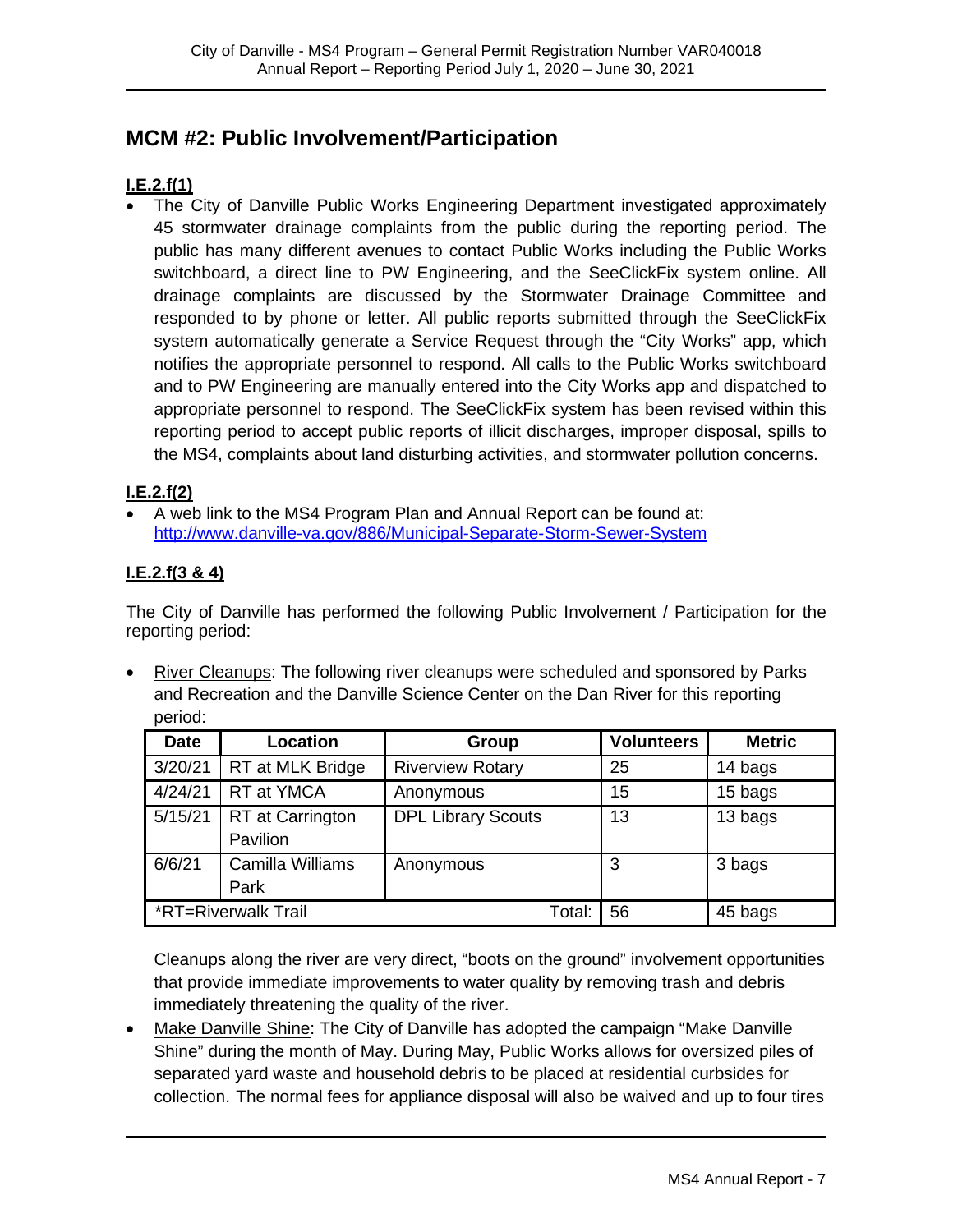# **MCM #2: Public Involvement/Participation**

#### **I.E.2.f(1)**

• The City of Danville Public Works Engineering Department investigated approximately 45 stormwater drainage complaints from the public during the reporting period. The public has many different avenues to contact Public Works including the Public Works switchboard, a direct line to PW Engineering, and the SeeClickFix system online. All drainage complaints are discussed by the Stormwater Drainage Committee and responded to by phone or letter. All public reports submitted through the SeeClickFix system automatically generate a Service Request through the "City Works" app, which notifies the appropriate personnel to respond. All calls to the Public Works switchboard and to PW Engineering are manually entered into the City Works app and dispatched to appropriate personnel to respond. The SeeClickFix system has been revised within this reporting period to accept public reports of illicit discharges, improper disposal, spills to the MS4, complaints about land disturbing activities, and stormwater pollution concerns.

#### **I.E.2.f(2)**

• A web link to the MS4 Program Plan and Annual Report can be found at: <http://www.danville-va.gov/886/Municipal-Separate-Storm-Sewer-System>

#### **I.E.2.f(3 & 4)**

The City of Danville has performed the following Public Involvement / Participation for the reporting period:

• River Cleanups: The following river cleanups were scheduled and sponsored by Parks and Recreation and the Danville Science Center on the Dan River for this reporting period:

| <b>Date</b>         | Location                            | Group                     | <b>Volunteers</b> | <b>Metric</b> |
|---------------------|-------------------------------------|---------------------------|-------------------|---------------|
| 3/20/21             | RT at MLK Bridge                    | <b>Riverview Rotary</b>   | 25                | 14 bags       |
| 4/24/21             | RT at YMCA                          | Anonymous                 | 15                | 15 bags       |
| 5/15/21             | <b>RT</b> at Carrington<br>Pavilion | <b>DPL Library Scouts</b> | 13                | 13 bags       |
| 6/6/21              | Camilla Williams<br>Park            | Anonymous                 | 3                 | 3 bags        |
| *RT=Riverwalk Trail |                                     |                           | 56                | 45 bags       |

Cleanups along the river are very direct, "boots on the ground" involvement opportunities that provide immediate improvements to water quality by removing trash and debris immediately threatening the quality of the river.

• Make Danville Shine: The City of Danville has adopted the campaign "Make Danville Shine" during the month of May. During May, Public Works allows for oversized piles of separated yard waste and household debris to be placed at residential curbsides for collection. The normal fees for appliance disposal will also be waived and up to four tires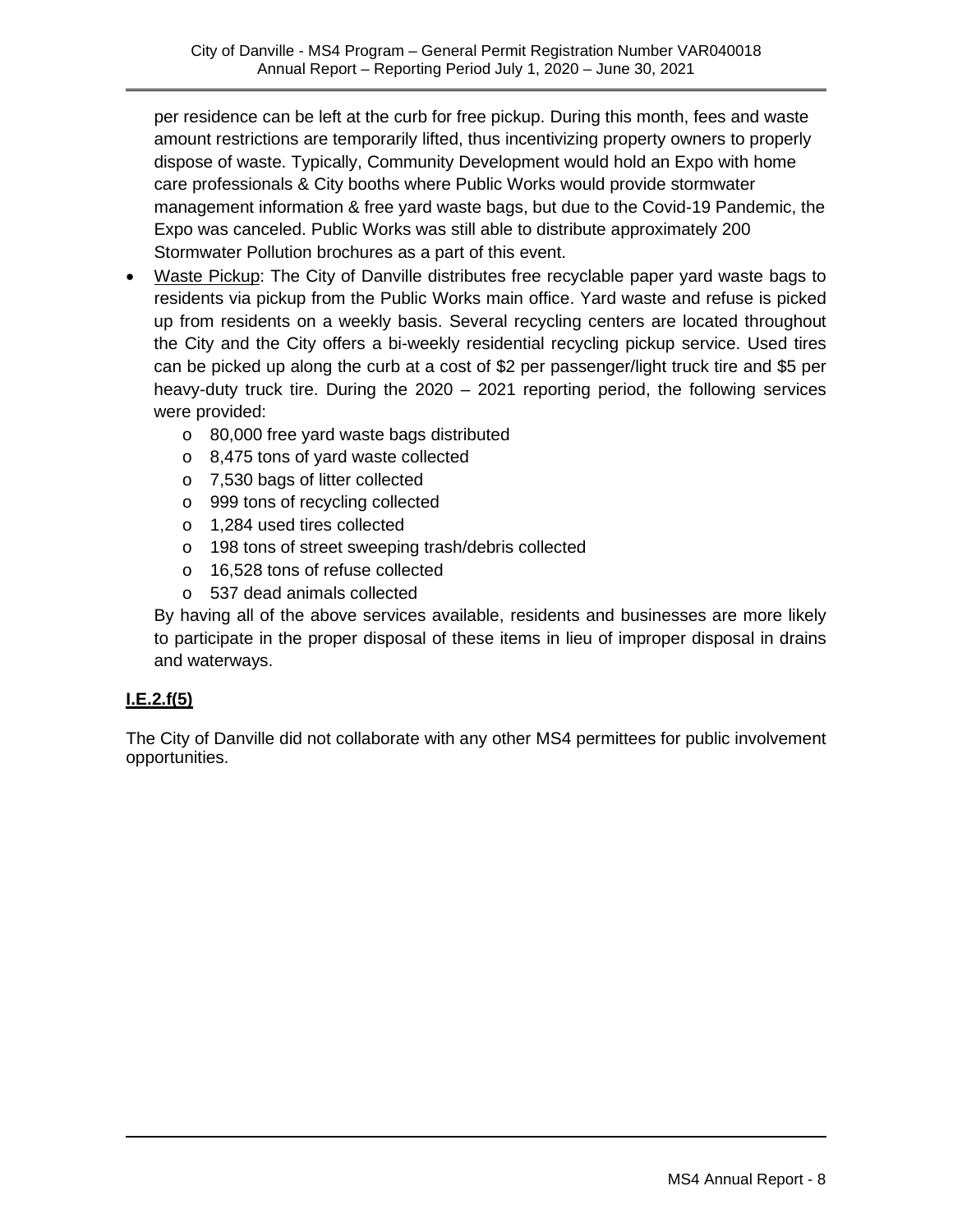per residence can be left at the curb for free pickup. During this month, fees and waste amount restrictions are temporarily lifted, thus incentivizing property owners to properly dispose of waste. Typically, Community Development would hold an Expo with home care professionals & City booths where Public Works would provide stormwater management information & free yard waste bags, but due to the Covid-19 Pandemic, the Expo was canceled. Public Works was still able to distribute approximately 200 Stormwater Pollution brochures as a part of this event.

- Waste Pickup: The City of Danville distributes free recyclable paper yard waste bags to residents via pickup from the Public Works main office. Yard waste and refuse is picked up from residents on a weekly basis. Several recycling centers are located throughout the City and the City offers a bi-weekly residential recycling pickup service. Used tires can be picked up along the curb at a cost of \$2 per passenger/light truck tire and \$5 per heavy-duty truck tire. During the 2020 – 2021 reporting period, the following services were provided:
	- o 80,000 free yard waste bags distributed
	- o 8,475 tons of yard waste collected
	- o 7,530 bags of litter collected
	- o 999 tons of recycling collected
	- o 1,284 used tires collected
	- o 198 tons of street sweeping trash/debris collected
	- o 16,528 tons of refuse collected
	- o 537 dead animals collected

By having all of the above services available, residents and businesses are more likely to participate in the proper disposal of these items in lieu of improper disposal in drains and waterways.

#### **I.E.2.f(5)**

The City of Danville did not collaborate with any other MS4 permittees for public involvement opportunities.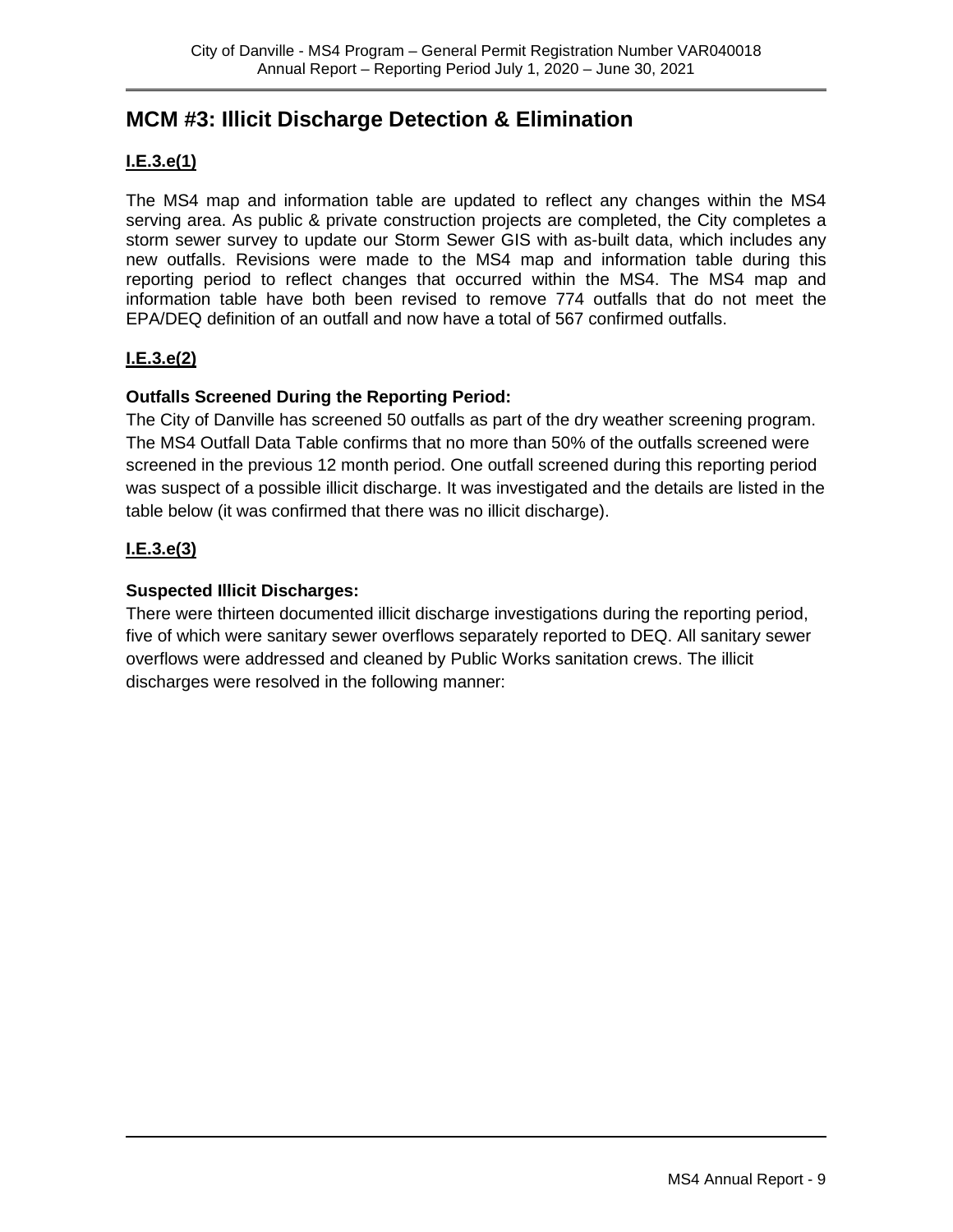## **MCM #3: Illicit Discharge Detection & Elimination**

#### **I.E.3.e(1)**

The MS4 map and information table are updated to reflect any changes within the MS4 serving area. As public & private construction projects are completed, the City completes a storm sewer survey to update our Storm Sewer GIS with as-built data, which includes any new outfalls. Revisions were made to the MS4 map and information table during this reporting period to reflect changes that occurred within the MS4. The MS4 map and information table have both been revised to remove 774 outfalls that do not meet the EPA/DEQ definition of an outfall and now have a total of 567 confirmed outfalls.

#### **I.E.3.e(2)**

#### **Outfalls Screened During the Reporting Period:**

The City of Danville has screened 50 outfalls as part of the dry weather screening program. The MS4 Outfall Data Table confirms that no more than 50% of the outfalls screened were screened in the previous 12 month period. One outfall screened during this reporting period was suspect of a possible illicit discharge. It was investigated and the details are listed in the table below (it was confirmed that there was no illicit discharge).

#### **I.E.3.e(3)**

#### **Suspected Illicit Discharges:**

There were thirteen documented illicit discharge investigations during the reporting period, five of which were sanitary sewer overflows separately reported to DEQ. All sanitary sewer overflows were addressed and cleaned by Public Works sanitation crews. The illicit discharges were resolved in the following manner: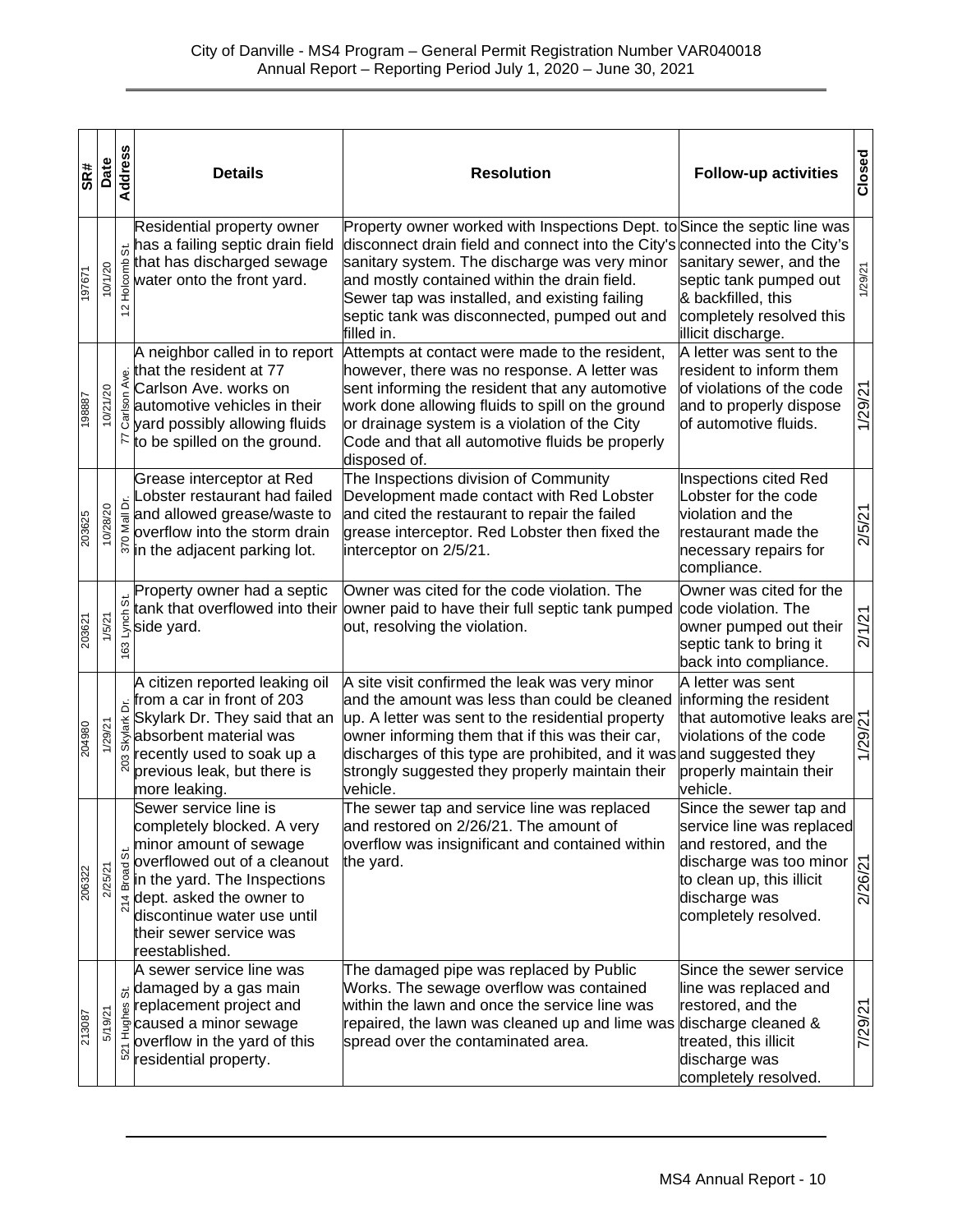| SR#    | Date     | Address              | <b>Details</b>                                                                                                                                                                                                                                                      | <b>Resolution</b>                                                                                                                                                                                                                                                                                                                                                         | <b>Follow-up activities</b>                                                                                                                                                          | Closed  |
|--------|----------|----------------------|---------------------------------------------------------------------------------------------------------------------------------------------------------------------------------------------------------------------------------------------------------------------|---------------------------------------------------------------------------------------------------------------------------------------------------------------------------------------------------------------------------------------------------------------------------------------------------------------------------------------------------------------------------|--------------------------------------------------------------------------------------------------------------------------------------------------------------------------------------|---------|
| 197671 | 10/1/20  | க்<br>ξÊ<br>$\sim$   | Residential property owner<br>has a failing septic drain field<br>that has discharged sewage<br>$\frac{8}{3}$ water onto the front yard.                                                                                                                            | Property owner worked with Inspections Dept. to Since the septic line was<br>disconnect drain field and connect into the City's connected into the City's<br>sanitary system. The discharge was very minor<br>and mostly contained within the drain field.<br>Sewer tap was installed, and existing failing<br>septic tank was disconnected, pumped out and<br>filled in. | sanitary sewer, and the<br>septic tank pumped out<br>& backfilled, this<br>completely resolved this<br>illicit discharge.                                                            | 1/29/21 |
| 198887 | 10/21/20 |                      | A neighbor called in to report<br>that the resident at 77<br>Carlson Ave. works on<br>$\frac{5}{2}$ automotive vehicles in their<br>g yard possibly allowing fluids<br>$\mathbb{R}$ to be spilled on the ground.                                                    | Attempts at contact were made to the resident,<br>however, there was no response. A letter was<br>sent informing the resident that any automotive<br>work done allowing fluids to spill on the ground<br>or drainage system is a violation of the City<br>Code and that all automotive fluids be properly<br>disposed of.                                                 | A letter was sent to the<br>resident to inform them<br>of violations of the code<br>and to properly dispose<br>of automotive fluids.                                                 | 1/29/21 |
| 203625 | 10/28/20 | $\breve{\mathsf{d}}$ | Grease interceptor at Red<br>Lobster restaurant had failed<br>$\frac{1}{\overline{8}}$ and allowed grease/waste to<br>solverflow into the storm drain<br>$\frac{1}{2}$ in the adjacent parking lot.                                                                 | The Inspections division of Community<br>Development made contact with Red Lobster<br>and cited the restaurant to repair the failed<br>grease interceptor. Red Lobster then fixed the<br>interceptor on 2/5/21.                                                                                                                                                           | Inspections cited Red<br>Lobster for the code<br>violation and the<br>restaurant made the<br>necessary repairs for<br>compliance.                                                    | 2/5/21  |
| 203621 | 1/5/21   | ö<br>Lynch<br>63     | Property owner had a septic<br>side yard.                                                                                                                                                                                                                           | Owner was cited for the code violation. The<br>tank that overflowed into their <i>owner paid to have their full septic tank pumped</i><br>out, resolving the violation.                                                                                                                                                                                                   | Owner was cited for the<br>code violation. The<br>owner pumped out their<br>septic tank to bring it<br>back into compliance.                                                         | 2/1/21  |
| 204980 | 1/29/21  | ځ                    | A citizen reported leaking oil<br>from a car in front of 203<br>$\frac{1}{\frac{1}{2}}$ Skylark Dr. They said that an<br>$\frac{1}{\infty}$ absorbent material was<br>recently used to soak up a<br>previous leak, but there is<br>more leaking.                    | A site visit confirmed the leak was very minor<br>and the amount was less than could be cleaned<br>up. A letter was sent to the residential property<br>owner informing them that if this was their car,<br>discharges of this type are prohibited, and it was and suggested they<br>strongly suggested they properly maintain their<br>vehicle.                          | A letter was sent<br>informing the resident<br>that automotive leaks are $\frac{1}{\sqrt{2}}$<br>violations of the code<br>and suggested they<br>properly maintain their<br>vehicle. |         |
| 206322 | /25/21   | 5.<br><b>Broad</b>   | Sewer service line is<br>completely blocked. A very<br>minor amount of sewage<br>overflowed out of a cleanout<br>in the yard. The Inspections<br>$\frac{1}{N}$ dept. asked the owner to<br>discontinue water use until<br>their sewer service was<br>reestablished. | The sewer tap and service line was replaced<br>and restored on 2/26/21. The amount of<br>overflow was insignificant and contained within<br>the yard.                                                                                                                                                                                                                     | Since the sewer tap and<br>service line was replaced<br>and restored, and the<br>discharge was too minor<br>to clean up, this illicit<br>discharge was<br>completely resolved.       | 2/26/21 |
| 213087 | 5/19/21  |                      | A sewer service line was<br><sub>is</sub> damaged by a gas main<br>replacement project and<br>$\frac{1}{2}$ caused a minor sewage<br>overflow in the yard of this<br>residential property.                                                                          | The damaged pipe was replaced by Public<br>Works. The sewage overflow was contained<br>within the lawn and once the service line was<br>repaired, the lawn was cleaned up and lime was<br>spread over the contaminated area.                                                                                                                                              | Since the sewer service<br>line was replaced and<br>restored, and the<br>discharge cleaned &<br>treated, this illicit<br>discharge was<br>completely resolved.                       | 7/29/21 |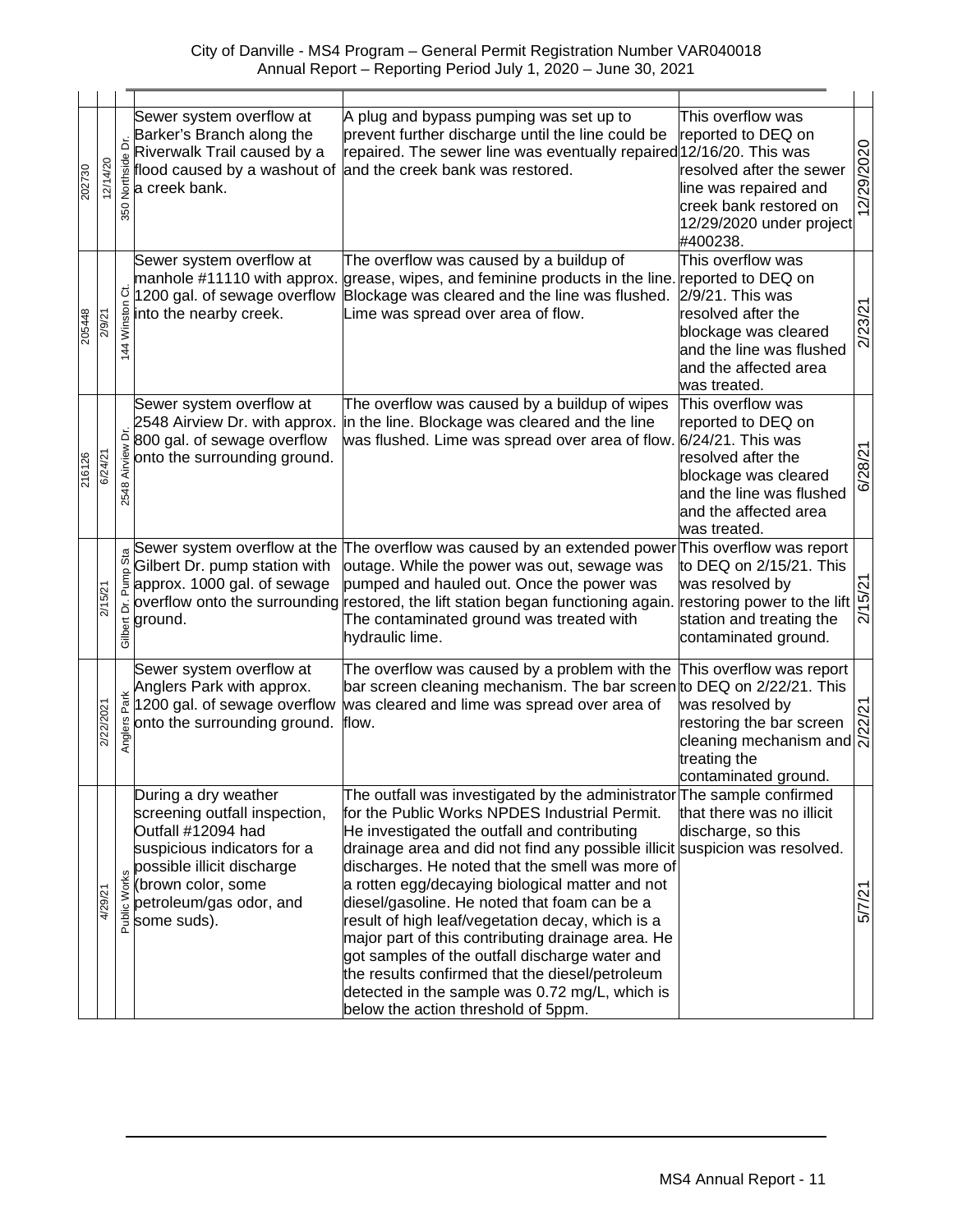| 202730 | 12/14/20  | ة<br>Northside<br>350       | Sewer system overflow at<br>Barker's Branch along the<br>Riverwalk Trail caused by a<br>flood caused by a washout of<br>a creek bank.                                                                    | A plug and bypass pumping was set up to<br>prevent further discharge until the line could be<br>repaired. The sewer line was eventually repaired 12/16/20. This was<br>and the creek bank was restored.                                                                                                                                                                                                                                                                                                                                                                                                                                                                                                             | This overflow was<br>reported to DEQ on<br>resolved after the sewer<br>line was repaired and<br>creek bank restored on<br>12/29/2020 under project<br>#400238.                  | 12/29/2020 |
|--------|-----------|-----------------------------|----------------------------------------------------------------------------------------------------------------------------------------------------------------------------------------------------------|---------------------------------------------------------------------------------------------------------------------------------------------------------------------------------------------------------------------------------------------------------------------------------------------------------------------------------------------------------------------------------------------------------------------------------------------------------------------------------------------------------------------------------------------------------------------------------------------------------------------------------------------------------------------------------------------------------------------|---------------------------------------------------------------------------------------------------------------------------------------------------------------------------------|------------|
| 205448 | 2/9/21    | Winston Ct.<br>4            | Sewer system overflow at<br>manhole #11110 with approx.<br>1200 gal. of sewage overflow<br>into the nearby creek.                                                                                        | The overflow was caused by a buildup of<br>grease, wipes, and feminine products in the line.<br>Blockage was cleared and the line was flushed.<br>Lime was spread over area of flow.                                                                                                                                                                                                                                                                                                                                                                                                                                                                                                                                | This overflow was<br>reported to DEQ on<br>2/9/21. This was<br>resolved after the<br>blockage was cleared<br>and the line was flushed<br>and the affected area<br>was treated.  | 2/23/21    |
| 216126 | 6/24/21   | ă<br>Airview<br>2548        | Sewer system overflow at<br>2548 Airview Dr. with approx.<br>800 gal. of sewage overflow<br>onto the surrounding ground.                                                                                 | The overflow was caused by a buildup of wipes<br>in the line. Blockage was cleared and the line<br>was flushed. Lime was spread over area of flow.                                                                                                                                                                                                                                                                                                                                                                                                                                                                                                                                                                  | This overflow was<br>reported to DEQ on<br>6/24/21. This was<br>resolved after the<br>blockage was cleared<br>and the line was flushed<br>and the affected area<br>was treated. | 6/28/21    |
|        | 2/15/21   | Sta<br>Pump<br>ă<br>Gilbert | Gilbert Dr. pump station with<br>approx. 1000 gal. of sewage<br>ground.                                                                                                                                  | Sewer system overflow at the The overflow was caused by an extended power This overflow was report<br>outage. While the power was out, sewage was<br>pumped and hauled out. Once the power was<br>overflow onto the surrounding restored, the lift station began functioning again.<br>The contaminated ground was treated with<br>hydraulic lime.                                                                                                                                                                                                                                                                                                                                                                  | to DEQ on 2/15/21. This<br>was resolved by<br>restoring power to the lift<br>station and treating the<br>contaminated ground.                                                   | 2/15/21    |
|        | 2/22/2021 | Anglers Park                | Sewer system overflow at<br>Anglers Park with approx.<br>1200 gal. of sewage overflow<br>onto the surrounding ground.                                                                                    | The overflow was caused by a problem with the<br>bar screen cleaning mechanism. The bar screen to DEQ on 2/22/21. This<br>was cleared and lime was spread over area of<br>flow.                                                                                                                                                                                                                                                                                                                                                                                                                                                                                                                                     | This overflow was report<br>was resolved by<br>restoring the bar screen<br>cleaning mechanism and<br>treating the<br>contaminated ground.                                       | 2/22/21    |
|        | 4/29/21   | Public Works                | During a dry weather<br>screening outfall inspection,<br>Outfall #12094 had<br>suspicious indicators for a<br>possible illicit discharge<br>(brown color, some<br>petroleum/gas odor, and<br>some suds). | The outfall was investigated by the administrator The sample confirmed<br>for the Public Works NPDES Industrial Permit.<br>He investigated the outfall and contributing<br>drainage area and did not find any possible illicit suspicion was resolved.<br>discharges. He noted that the smell was more of<br>a rotten egg/decaying biological matter and not<br>diesel/gasoline. He noted that foam can be a<br>result of high leaf/vegetation decay, which is a<br>major part of this contributing drainage area. He<br>got samples of the outfall discharge water and<br>the results confirmed that the diesel/petroleum<br>detected in the sample was 0.72 mg/L, which is<br>below the action threshold of 5ppm. | that there was no illicit<br>discharge, so this                                                                                                                                 | 5/7/21     |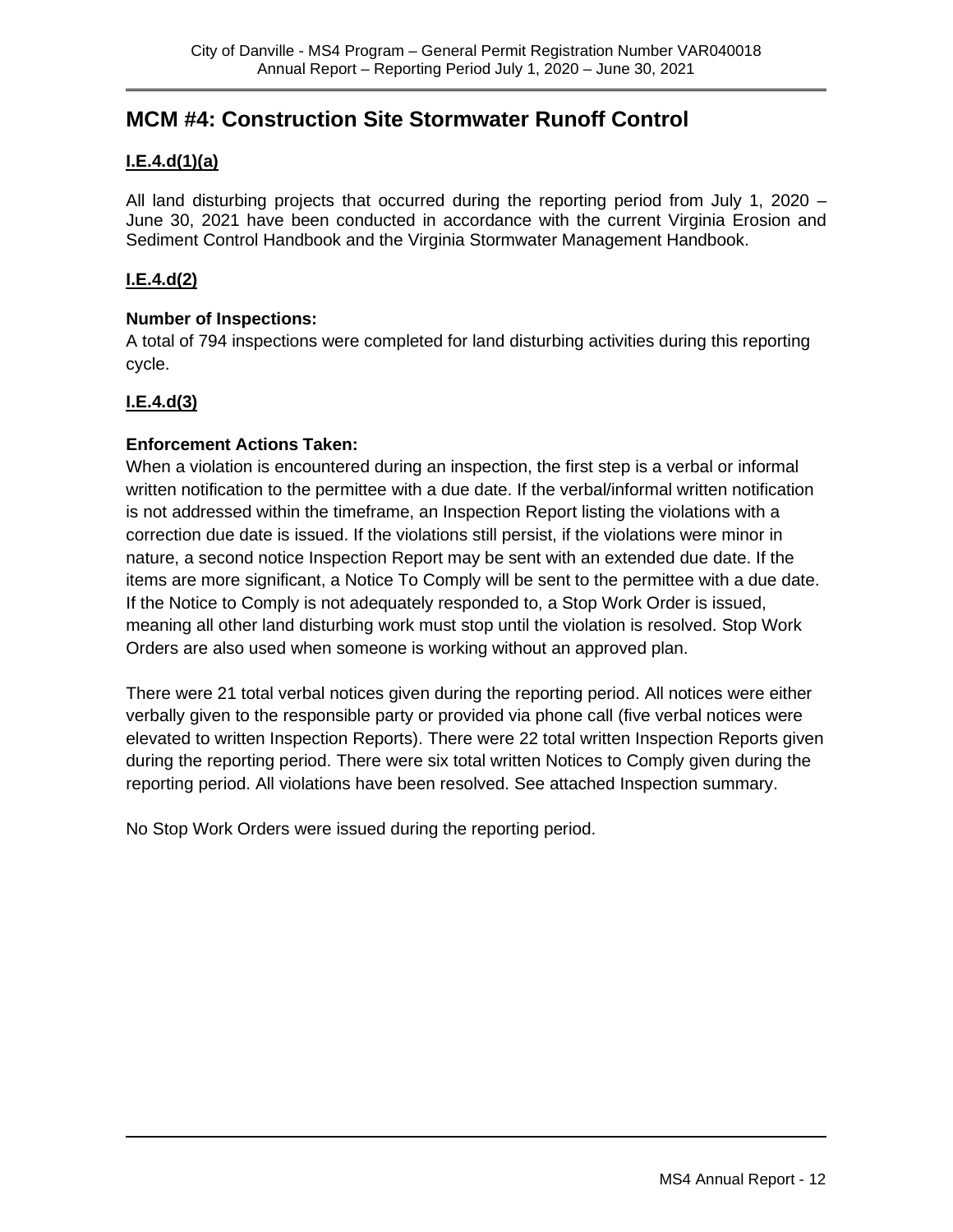### **MCM #4: Construction Site Stormwater Runoff Control**

#### **I.E.4.d(1)(a)**

All land disturbing projects that occurred during the reporting period from July 1, 2020 – June 30, 2021 have been conducted in accordance with the current Virginia Erosion and Sediment Control Handbook and the Virginia Stormwater Management Handbook.

#### **I.E.4.d(2)**

#### **Number of Inspections:**

A total of 794 inspections were completed for land disturbing activities during this reporting cycle.

#### **I.E.4.d(3)**

#### **Enforcement Actions Taken:**

When a violation is encountered during an inspection, the first step is a verbal or informal written notification to the permittee with a due date. If the verbal/informal written notification is not addressed within the timeframe, an Inspection Report listing the violations with a correction due date is issued. If the violations still persist, if the violations were minor in nature, a second notice Inspection Report may be sent with an extended due date. If the items are more significant, a Notice To Comply will be sent to the permittee with a due date. If the Notice to Comply is not adequately responded to, a Stop Work Order is issued, meaning all other land disturbing work must stop until the violation is resolved. Stop Work Orders are also used when someone is working without an approved plan.

There were 21 total verbal notices given during the reporting period. All notices were either verbally given to the responsible party or provided via phone call (five verbal notices were elevated to written Inspection Reports). There were 22 total written Inspection Reports given during the reporting period. There were six total written Notices to Comply given during the reporting period. All violations have been resolved. See attached Inspection summary.

No Stop Work Orders were issued during the reporting period.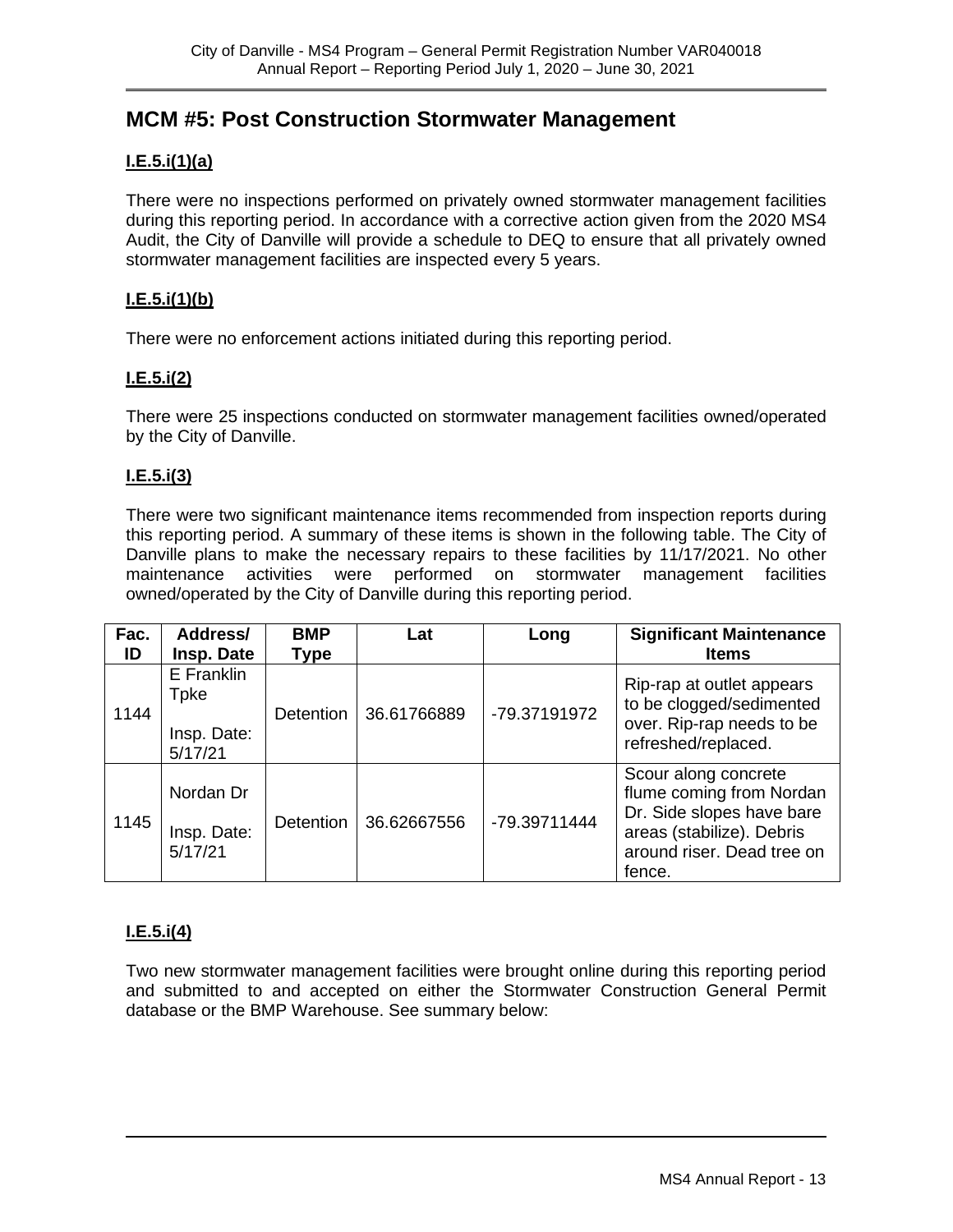### **MCM #5: Post Construction Stormwater Management**

#### **I.E.5.i(1)(a)**

There were no inspections performed on privately owned stormwater management facilities during this reporting period. In accordance with a corrective action given from the 2020 MS4 Audit, the City of Danville will provide a schedule to DEQ to ensure that all privately owned stormwater management facilities are inspected every 5 years.

#### **I.E.5.i(1)(b)**

There were no enforcement actions initiated during this reporting period.

#### **I.E.5.i(2)**

There were 25 inspections conducted on stormwater management facilities owned/operated by the City of Danville.

#### **I.E.5.i(3)**

There were two significant maintenance items recommended from inspection reports during this reporting period. A summary of these items is shown in the following table. The City of Danville plans to make the necessary repairs to these facilities by 11/17/2021. No other maintenance activities were performed on stormwater management facilities owned/operated by the City of Danville during this reporting period.

| Fac. | Address/                          | <b>BMP</b>                      | Lat         | Long         | <b>Significant Maintenance</b>                                                     |  |
|------|-----------------------------------|---------------------------------|-------------|--------------|------------------------------------------------------------------------------------|--|
| ID   | Insp. Date                        | <b>Type</b>                     |             |              | <b>Items</b>                                                                       |  |
| 1144 | E Franklin<br>Tpke<br>Insp. Date: | 36.61766889<br><b>Detention</b> |             | -79.37191972 | Rip-rap at outlet appears<br>to be clogged/sedimented<br>over. Rip-rap needs to be |  |
|      | 5/17/21                           |                                 |             |              | refreshed/replaced.                                                                |  |
| 1145 | Nordan Dr                         | Detention                       | 36.62667556 | -79.39711444 | Scour along concrete<br>flume coming from Nordan<br>Dr. Side slopes have bare      |  |
|      | Insp. Date:<br>5/17/21            |                                 |             |              | areas (stabilize). Debris<br>around riser. Dead tree on<br>fence.                  |  |

#### **I.E.5.i(4)**

Two new stormwater management facilities were brought online during this reporting period and submitted to and accepted on either the Stormwater Construction General Permit database or the BMP Warehouse. See summary below: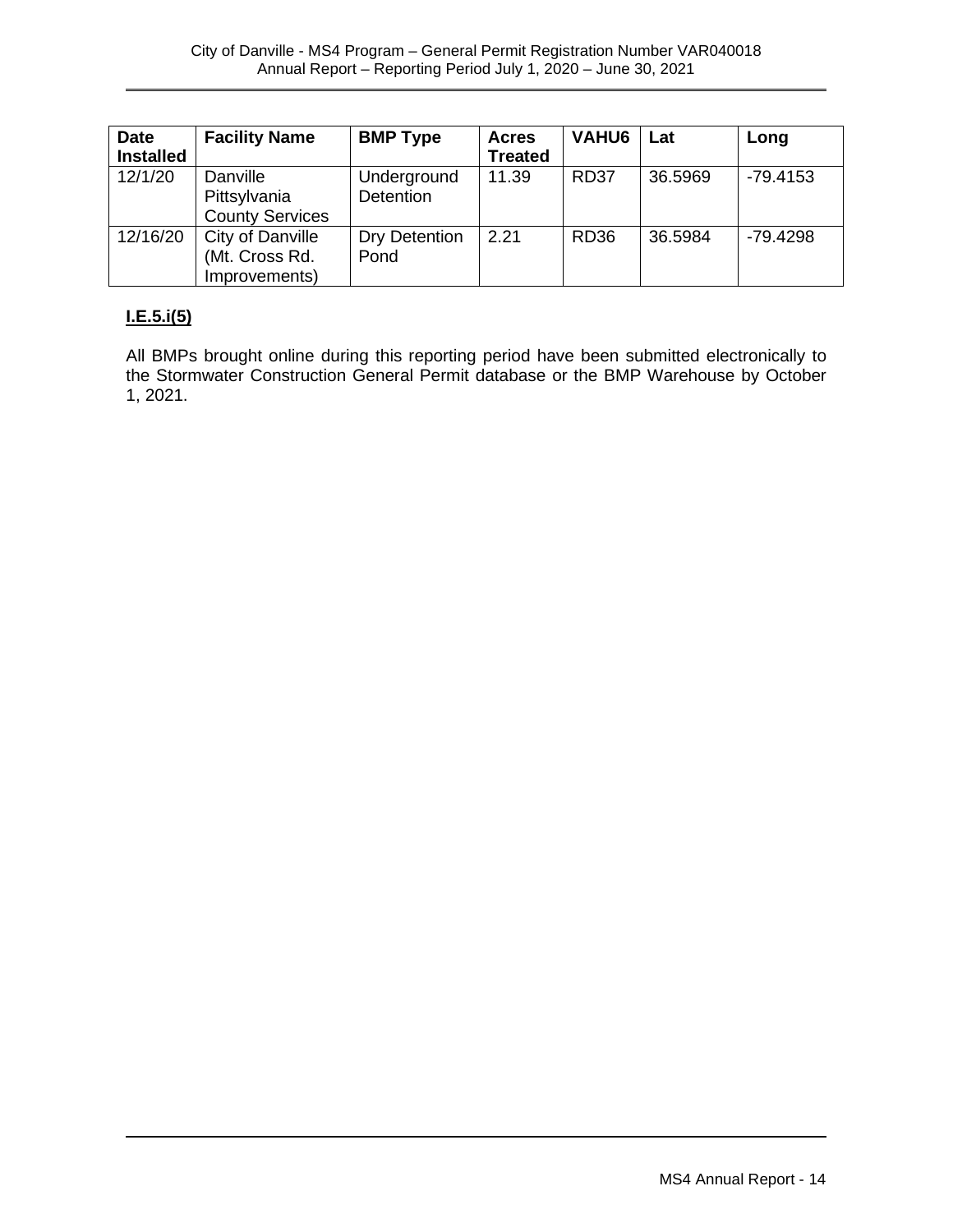| <b>Date</b><br><b>Installed</b> | <b>Facility Name</b>                                 | <b>BMP Type</b>                 | <b>Acres</b><br><b>Treated</b> | <b>VAHU6</b> | Lat     | Long       |
|---------------------------------|------------------------------------------------------|---------------------------------|--------------------------------|--------------|---------|------------|
| 12/1/20                         | Danville<br>Pittsylvania<br><b>County Services</b>   | Underground<br><b>Detention</b> | 11.39                          | <b>RD37</b>  | 36.5969 | $-79.4153$ |
| 12/16/20                        | City of Danville<br>(Mt. Cross Rd.)<br>Improvements) | Dry Detention<br>Pond           | 2.21                           | <b>RD36</b>  | 36.5984 | $-79.4298$ |

#### **I.E.5.i(5)**

All BMPs brought online during this reporting period have been submitted electronically to the Stormwater Construction General Permit database or the BMP Warehouse by October 1, 2021.